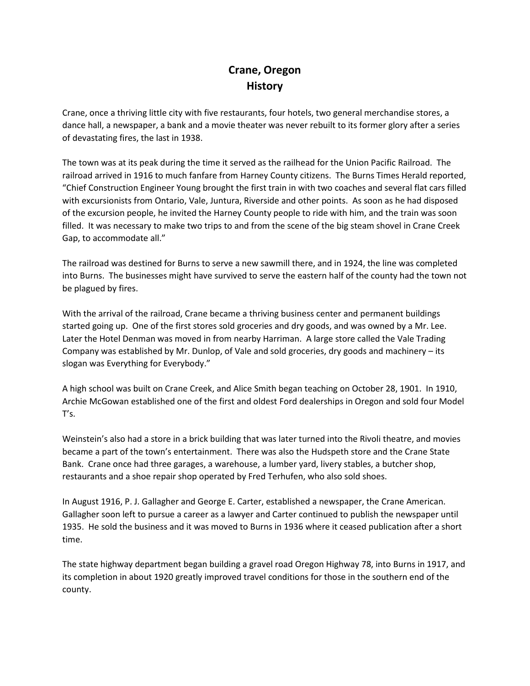## **Crane, Oregon History**

Crane, once a thriving little city with five restaurants, four hotels, two general merchandise stores, a dance hall, a newspaper, a bank and a movie theater was never rebuilt to its former glory after a series of devastating fires, the last in 1938.

The town was at its peak during the time it served as the railhead for the Union Pacific Railroad. The railroad arrived in 1916 to much fanfare from Harney County citizens. The Burns Times Herald reported, "Chief Construction Engineer Young brought the first train in with two coaches and several flat cars filled with excursionists from Ontario, Vale, Juntura, Riverside and other points. As soon as he had disposed of the excursion people, he invited the Harney County people to ride with him, and the train was soon filled. It was necessary to make two trips to and from the scene of the big steam shovel in Crane Creek Gap, to accommodate all."

The railroad was destined for Burns to serve a new sawmill there, and in 1924, the line was completed into Burns. The businesses might have survived to serve the eastern half of the county had the town not be plagued by fires.

With the arrival of the railroad, Crane became a thriving business center and permanent buildings started going up. One of the first stores sold groceries and dry goods, and was owned by a Mr. Lee. Later the Hotel Denman was moved in from nearby Harriman. A large store called the Vale Trading Company was established by Mr. Dunlop, of Vale and sold groceries, dry goods and machinery – its slogan was Everything for Everybody."

A high school was built on Crane Creek, and Alice Smith began teaching on October 28, 1901. In 1910, Archie McGowan established one of the first and oldest Ford dealerships in Oregon and sold four Model T's.

Weinstein's also had a store in a brick building that was later turned into the Rivoli theatre, and movies became a part of the town's entertainment. There was also the Hudspeth store and the Crane State Bank. Crane once had three garages, a warehouse, a lumber yard, livery stables, a butcher shop, restaurants and a shoe repair shop operated by Fred Terhufen, who also sold shoes.

In August 1916, P. J. Gallagher and George E. Carter, established a newspaper, the Crane American. Gallagher soon left to pursue a career as a lawyer and Carter continued to publish the newspaper until 1935. He sold the business and it was moved to Burns in 1936 where it ceased publication after a short time.

The state highway department began building a gravel road Oregon Highway 78, into Burns in 1917, and its completion in about 1920 greatly improved travel conditions for those in the southern end of the county.